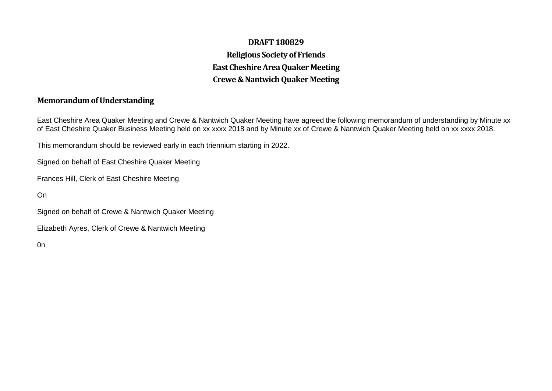## **DRAFT 180829 Religious Society of Friends East Cheshire Area Quaker Meeting Crewe & NantwichQuaker Meeting**

## **Memorandum of Understanding**

East Cheshire Area Quaker Meeting and Crewe & Nantwich Quaker Meeting have agreed the following memorandum of understanding by Minute xx of East Cheshire Quaker Business Meeting held on xx xxxx 2018 and by Minute xx of Crewe & Nantwich Quaker Meeting held on xx xxxx 2018.

This memorandum should be reviewed early in each triennium starting in 2022.

Signed on behalf of East Cheshire Quaker Meeting

Frances Hill, Clerk of East Cheshire Meeting

On

Signed on behalf of Crewe & Nantwich Quaker Meeting

Elizabeth Ayres, Clerk of Crewe & Nantwich Meeting

0n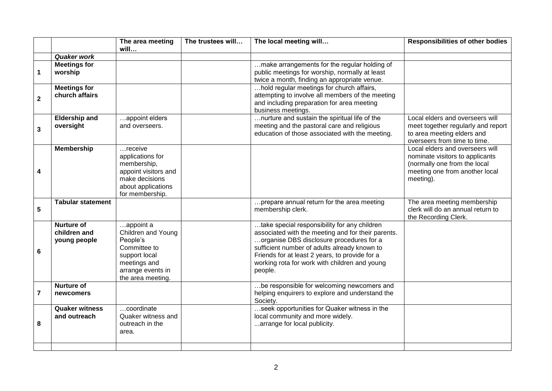|                         |                                                   | The area meeting                                                                                                                       | The trustees will | The local meeting will                                                                                                                                                                                                                                                                                       | <b>Responsibilities of other bodies</b>                                                                                                           |
|-------------------------|---------------------------------------------------|----------------------------------------------------------------------------------------------------------------------------------------|-------------------|--------------------------------------------------------------------------------------------------------------------------------------------------------------------------------------------------------------------------------------------------------------------------------------------------------------|---------------------------------------------------------------------------------------------------------------------------------------------------|
|                         | <b>Quaker work</b>                                | will                                                                                                                                   |                   |                                                                                                                                                                                                                                                                                                              |                                                                                                                                                   |
| 1                       | <b>Meetings for</b><br>worship                    |                                                                                                                                        |                   | make arrangements for the regular holding of<br>public meetings for worship, normally at least<br>twice a month, finding an appropriate venue.                                                                                                                                                               |                                                                                                                                                   |
| $\overline{\mathbf{2}}$ | <b>Meetings for</b><br>church affairs             |                                                                                                                                        |                   | hold regular meetings for church affairs,<br>attempting to involve all members of the meeting<br>and including preparation for area meeting<br>business meetings.                                                                                                                                            |                                                                                                                                                   |
| 3                       | <b>Eldership and</b><br>oversight                 | appoint elders<br>and overseers.                                                                                                       |                   | nurture and sustain the spiritual life of the<br>meeting and the pastoral care and religious<br>education of those associated with the meeting.                                                                                                                                                              | Local elders and overseers will<br>meet together regularly and report<br>to area meeting elders and<br>overseers from time to time.               |
| 4                       | <b>Membership</b>                                 | receive<br>applications for<br>membership,<br>appoint visitors and<br>make decisions<br>about applications<br>for membership.          |                   |                                                                                                                                                                                                                                                                                                              | Local elders and overseers will<br>nominate visitors to applicants<br>(normally one from the local<br>meeting one from another local<br>meeting). |
| 5                       | <b>Tabular statement</b>                          |                                                                                                                                        |                   | prepare annual return for the area meeting<br>membership clerk.                                                                                                                                                                                                                                              | The area meeting membership<br>clerk will do an annual return to<br>the Recording Clerk.                                                          |
| 6                       | <b>Nurture of</b><br>children and<br>young people | appoint a<br>Children and Young<br>People's<br>Committee to<br>support local<br>meetings and<br>arrange events in<br>the area meeting. |                   | take special responsibility for any children<br>associated with the meeting and for their parents.<br>organise DBS disclosure procedures for a<br>sufficient number of adults already known to<br>Friends for at least 2 years, to provide for a<br>working rota for work with children and young<br>people. |                                                                                                                                                   |
| $\overline{\mathbf{r}}$ | <b>Nurture of</b><br>newcomers                    |                                                                                                                                        |                   | be responsible for welcoming newcomers and<br>helping enquirers to explore and understand the<br>Society.                                                                                                                                                                                                    |                                                                                                                                                   |
| 8                       | <b>Quaker witness</b><br>and outreach             | coordinate<br>Quaker witness and<br>outreach in the<br>area.                                                                           |                   | seek opportunities for Quaker witness in the<br>local community and more widely.<br>arrange for local publicity.                                                                                                                                                                                             |                                                                                                                                                   |
|                         |                                                   |                                                                                                                                        |                   |                                                                                                                                                                                                                                                                                                              |                                                                                                                                                   |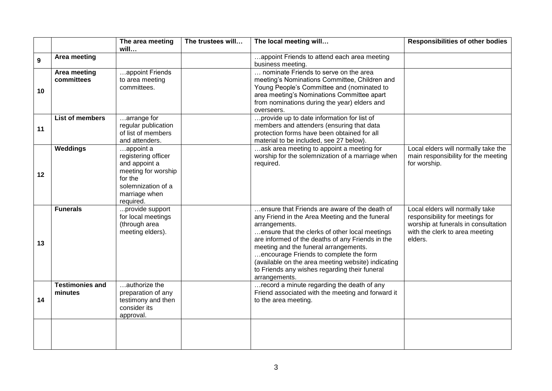|    |                                   | The area meeting                                                                                                                                 | The trustees will | The local meeting will                                                                                                                                                                                                                                                                                                                                                                                                            | <b>Responsibilities of other bodies</b>                                                                                                                |
|----|-----------------------------------|--------------------------------------------------------------------------------------------------------------------------------------------------|-------------------|-----------------------------------------------------------------------------------------------------------------------------------------------------------------------------------------------------------------------------------------------------------------------------------------------------------------------------------------------------------------------------------------------------------------------------------|--------------------------------------------------------------------------------------------------------------------------------------------------------|
| 9  | Area meeting                      | will                                                                                                                                             |                   | appoint Friends to attend each area meeting<br>business meeting.                                                                                                                                                                                                                                                                                                                                                                  |                                                                                                                                                        |
| 10 | Area meeting<br>committees        | appoint Friends<br>to area meeting<br>committees.                                                                                                |                   | nominate Friends to serve on the area<br>meeting's Nominations Committee, Children and<br>Young People's Committee and (nominated to<br>area meeting's Nominations Committee apart<br>from nominations during the year) elders and<br>overseers.                                                                                                                                                                                  |                                                                                                                                                        |
| 11 | List of members                   | arrange for<br>regular publication<br>of list of members<br>and attenders.                                                                       |                   | provide up to date information for list of<br>members and attenders (ensuring that data<br>protection forms have been obtained for all<br>material to be included, see 27 below).                                                                                                                                                                                                                                                 |                                                                                                                                                        |
| 12 | Weddings                          | $\ldots$ appoint a<br>registering officer<br>and appoint a<br>meeting for worship<br>for the<br>solemnization of a<br>marriage when<br>required. |                   | ask area meeting to appoint a meeting for<br>worship for the solemnization of a marriage when<br>required.                                                                                                                                                                                                                                                                                                                        | Local elders will normally take the<br>main responsibility for the meeting<br>for worship.                                                             |
| 13 | <b>Funerals</b>                   | provide support<br>for local meetings<br>(through area<br>meeting elders).                                                                       |                   | ensure that Friends are aware of the death of<br>any Friend in the Area Meeting and the funeral<br>arrangements.<br>ensure that the clerks of other local meetings<br>are informed of the deaths of any Friends in the<br>meeting and the funeral arrangements.<br>encourage Friends to complete the form<br>(available on the area meeting website) indicating<br>to Friends any wishes regarding their funeral<br>arrangements. | Local elders will normally take<br>responsibility for meetings for<br>worship at funerals in consultation<br>with the clerk to area meeting<br>elders. |
| 14 | <b>Testimonies and</b><br>minutes | authorize the<br>preparation of any<br>testimony and then<br>consider its<br>approval.                                                           |                   | record a minute regarding the death of any<br>Friend associated with the meeting and forward it<br>to the area meeting.                                                                                                                                                                                                                                                                                                           |                                                                                                                                                        |
|    |                                   |                                                                                                                                                  |                   |                                                                                                                                                                                                                                                                                                                                                                                                                                   |                                                                                                                                                        |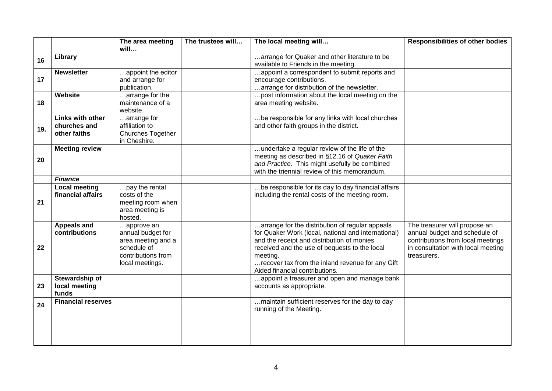|     |                                                  | The area meeting<br>will                                                                                      | The trustees will | The local meeting will                                                                                                                                                                                                                                                                                  | <b>Responsibilities of other bodies</b>                                                                                                                  |
|-----|--------------------------------------------------|---------------------------------------------------------------------------------------------------------------|-------------------|---------------------------------------------------------------------------------------------------------------------------------------------------------------------------------------------------------------------------------------------------------------------------------------------------------|----------------------------------------------------------------------------------------------------------------------------------------------------------|
| 16  | Library                                          |                                                                                                               |                   | arrange for Quaker and other literature to be<br>available to Friends in the meeting.                                                                                                                                                                                                                   |                                                                                                                                                          |
| 17  | <b>Newsletter</b>                                | appoint the editor<br>and arrange for<br>publication.                                                         |                   | appoint a correspondent to submit reports and<br>encourage contributions.<br>arrange for distribution of the newsletter.                                                                                                                                                                                |                                                                                                                                                          |
| 18  | Website                                          | arrange for the<br>maintenance of a<br>website.                                                               |                   | post information about the local meeting on the<br>area meeting website.                                                                                                                                                                                                                                |                                                                                                                                                          |
| 19. | Links with other<br>churches and<br>other faiths | arrange for<br>affiliation to<br>Churches Together<br>in Cheshire.                                            |                   | be responsible for any links with local churches<br>and other faith groups in the district.                                                                                                                                                                                                             |                                                                                                                                                          |
| 20  | <b>Meeting review</b>                            |                                                                                                               |                   | undertake a regular review of the life of the<br>meeting as described in §12.16 of Quaker Faith<br>and Practice. This might usefully be combined<br>with the triennial review of this memorandum.                                                                                                       |                                                                                                                                                          |
|     | <b>Finance</b><br><b>Local meeting</b>           | pay the rental                                                                                                |                   | be responsible for its day to day financial affairs                                                                                                                                                                                                                                                     |                                                                                                                                                          |
| 21  | financial affairs                                | costs of the<br>meeting room when<br>area meeting is<br>hosted.                                               |                   | including the rental costs of the meeting room.                                                                                                                                                                                                                                                         |                                                                                                                                                          |
| 22  | <b>Appeals and</b><br>contributions              | approve an<br>annual budget for<br>area meeting and a<br>schedule of<br>contributions from<br>local meetings. |                   | arrange for the distribution of regular appeals<br>for Quaker Work (local, national and international)<br>and the receipt and distribution of monies<br>received and the use of bequests to the local<br>meeting.<br>recover tax from the inland revenue for any Gift<br>Aided financial contributions. | The treasurer will propose an<br>annual budget and schedule of<br>contributions from local meetings<br>in consultation with local meeting<br>treasurers. |
| 23  | Stewardship of<br>local meeting<br>funds         |                                                                                                               |                   | appoint a treasurer and open and manage bank<br>accounts as appropriate.                                                                                                                                                                                                                                |                                                                                                                                                          |
| 24  | <b>Financial reserves</b>                        |                                                                                                               |                   | maintain sufficient reserves for the day to day<br>running of the Meeting.                                                                                                                                                                                                                              |                                                                                                                                                          |
|     |                                                  |                                                                                                               |                   |                                                                                                                                                                                                                                                                                                         |                                                                                                                                                          |